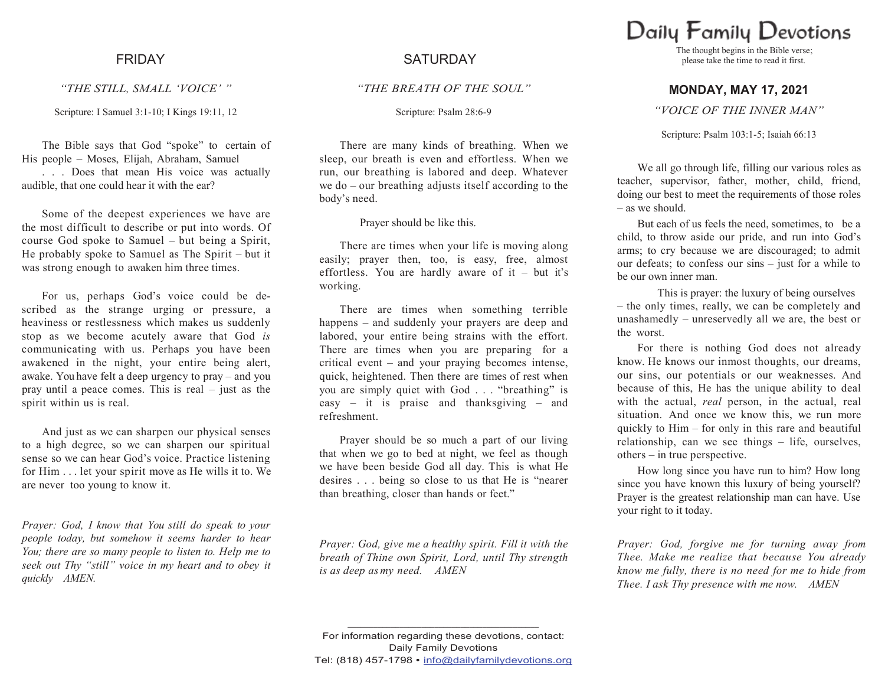*"THE STILL, SMALL "VOICE" "*

Scripture: I Samuel 3:1-10; I Kings 19:11, 12

The Bible says that God "spoke" to certain of His people – Moses, Elijah, Abraham, Samuel . . . Does that mean His voice was actually audible, that one could hear it with the ear?

Some of the deepest experiences we have are the most difficult to describe or put into words. Of course God spoke to Samuel – but being a Spirit, He probably spoke to Samuel as The Spirit – but it was strong enough to awaken him three times.

For us, perhaps God's voice could be described as the strange urging or pressure, a heaviness or restlessness which makes us suddenly stop as we become acutely aware that God *is*  communicating with us. Perhaps you have been awakened in the night, your entire being alert, awake. You have felt a deep urgency to pray – and you pray until a peace comes. This is real – just as the spirit within us is real.

And just as we can sharpen our physical senses to a high degree, so we can sharpen our spiritual sense so we can hear God's voice. Practice listening for Him . . . let your spirit move as He wills it to. We are never too young to know it.

*Prayer: God, I know that You still do speak to your people today, but somehow it seems harder to hear You; there are so many people to listen to. Help me to seek out Thy "still" voice in my heart and to obey it quickly AMEN.*

# FRIDAY SATURDAY

## *"THE BREATH OF THE SOUL"*

Scripture: Psalm 28:6-9

There are many kinds of breathing. When we sleep, our breath is even and effortless. When we run, our breathing is labored and deep. Whatever we do – our breathing adjusts itself according to the body's need.

Prayer should be like this.

There are times when your life is moving along easily; prayer then, too, is easy, free, almost effortless. You are hardly aware of it – but it's working.

There are times when something terrible happens – and suddenly your prayers are deep and labored, your entire being strains with the effort. There are times when you are preparing for a critical event – and your praying becomes intense, quick, heightened. Then there are times of rest when you are simply quiet with God . . . "breathing" is easy – it is praise and thanksgiving – and refreshment.

Prayer should be so much a part of our living that when we go to bed at night, we feel as though we have been beside God all day. This is what He desires . . . being so close to us that He is "nearer than breathing, closer than hands or feet."

*Prayer: God, give me a healthy spirit. Fill it with the breath of Thine own Spirit, Lord, until Thy strength is as deep asmy need. AMEN*

Daily Family Devotions

The thought begins in the Bible verse; please take the time to read it first.

## **MONDAY, MAY 17, 2021**

### *"VOICE OF THE INNER MAN"*

### Scripture: Psalm 103:1-5; Isaiah 66:13

We all go through life, filling our various roles as teacher, supervisor, father, mother, child, friend, doing our best to meet the requirements of those roles – as we should.

But each of us feels the need, sometimes, to be a child, to throw aside our pride, and run into God's arms; to cry because we are discouraged; to admit our defeats; to confess our sins – just for a while to be our own inner man.

This is prayer: the luxury of being ourselves – the only times, really, we can be completely and unashamedly – unreservedly all we are, the best or the worst.

For there is nothing God does not already know. He knows our inmost thoughts, our dreams, our sins, our potentials or our weaknesses. And because of this, He has the unique ability to deal with the actual, *real* person, in the actual, real situation. And once we know this, we run more quickly to Him – for only in this rare and beautiful relationship, can we see things – life, ourselves, others – in true perspective.

How long since you have run to him? How long since you have known this luxury of being yourself? Prayer is the greatest relationship man can have. Use your right to it today.

*Prayer: God, forgive me for turning away from Thee. Make me realize that because You already know me fully, there is no need for me to hide from Thee. I ask Thy presence with me now. AMEN*

**\_\_\_\_\_\_\_\_\_\_\_\_\_\_\_\_\_\_\_\_\_\_\_\_\_\_\_\_\_\_\_\_\_\_\_\_\_\_\_\_\_\_\_\_**